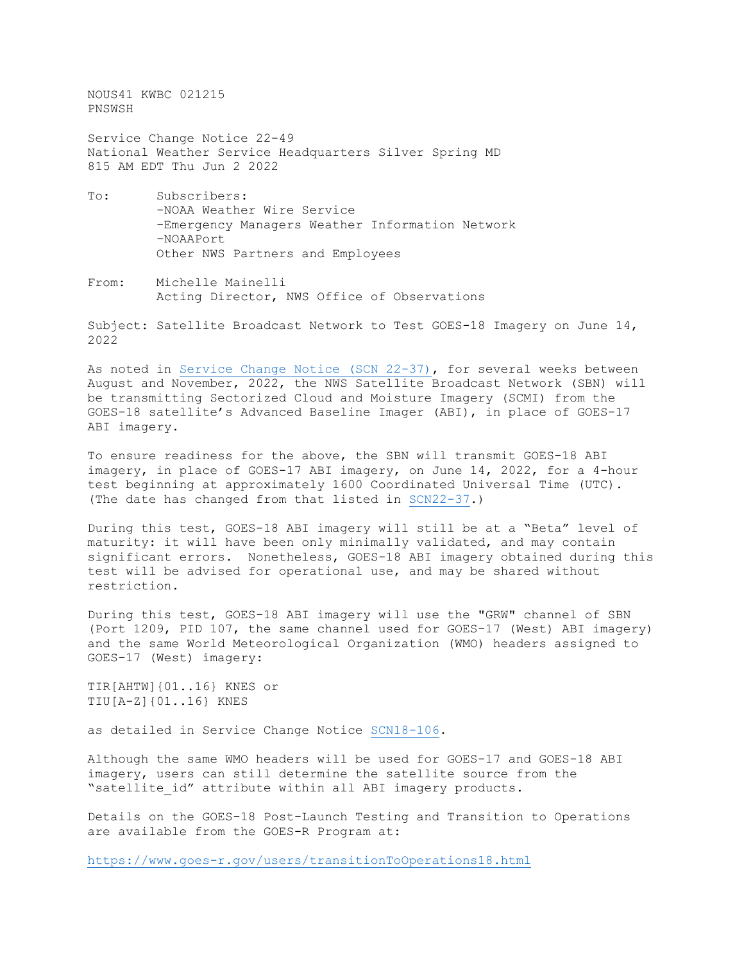NOUS41 KWBC 021215 PNSWSH

Service Change Notice 22-49 National Weather Service Headquarters Silver Spring MD 815 AM EDT Thu Jun 2 2022

- To: Subscribers: -NOAA Weather Wire Service -Emergency Managers Weather Information Network -NOAAPort Other NWS Partners and Employees
- From: Michelle Mainelli Acting Director, NWS Office of Observations

Subject: Satellite Broadcast Network to Test GOES-18 Imagery on June 14, 2022

As noted in [Service Change Notice \(SCN 22-37\),](https://www.weather.gov/media/notification/pdf2/scn22-37_goes-18_broadcast.pdf) for several weeks between August and November, 2022, the NWS Satellite Broadcast Network (SBN) will be transmitting Sectorized Cloud and Moisture Imagery (SCMI) from the GOES-18 satellite's Advanced Baseline Imager (ABI), in place of GOES-17 ABI imagery.

To ensure readiness for the above, the SBN will transmit GOES-18 ABI imagery, in place of GOES-17 ABI imagery, on June 14, 2022, for a 4-hour test beginning at approximately 1600 Coordinated Universal Time (UTC). (The date has changed from that listed in [SCN22-37.](https://www.weather.gov/media/notification/pdf2/scn22-37_goes-18_broadcast.pdf))

During this test, GOES-18 ABI imagery will still be at a "Beta" level of maturity: it will have been only minimally validated, and may contain significant errors. Nonetheless, GOES-18 ABI imagery obtained during this test will be advised for operational use, and may be shared without restriction.

During this test, GOES-18 ABI imagery will use the "GRW" channel of SBN (Port 1209, PID 107, the same channel used for GOES-17 (West) ABI imagery) and the same World Meteorological Organization (WMO) headers assigned to GOES-17 (West) imagery:

TIR[AHTW]{01..16} KNES or TIU[A-Z]{01..16} KNES

as detailed in Service Change Notice [SCN18-106.](https://www.weather.gov/media/notification/pdfs/scn18-106goes-17.pdf)

Although the same WMO headers will be used for GOES-17 and GOES-18 ABI imagery, users can still determine the satellite source from the "satellite id" attribute within all ABI imagery products.

Details on the GOES-18 Post-Launch Testing and Transition to Operations are available from the GOES-R Program at:

<https://www.goes-r.gov/users/transitionToOperations18.html>